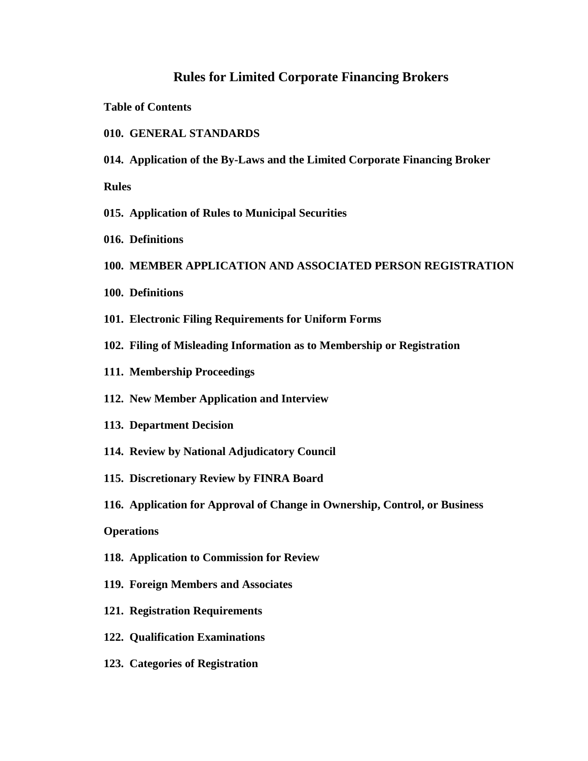# **Rules for Limited Corporate Financing Brokers**

**Table of Contents**

- **010. GENERAL STANDARDS**
- **014. Application of the By-Laws and the Limited Corporate Financing Broker**

**Rules**

- **015. Application of Rules to Municipal Securities**
- **016. Definitions**
- **100. MEMBER APPLICATION AND ASSOCIATED PERSON REGISTRATION**
- **100. Definitions**
- **101. Electronic Filing Requirements for Uniform Forms**
- **102. Filing of Misleading Information as to Membership or Registration**
- **111. Membership Proceedings**
- **112. New Member Application and Interview**
- **113. Department Decision**
- **114. Review by National Adjudicatory Council**
- **115. Discretionary Review by FINRA Board**
- **116. Application for Approval of Change in Ownership, Control, or Business**

# **Operations**

- **118. Application to Commission for Review**
- **119. Foreign Members and Associates**
- **121. Registration Requirements**
- **122. Qualification Examinations**
- **123. Categories of Registration**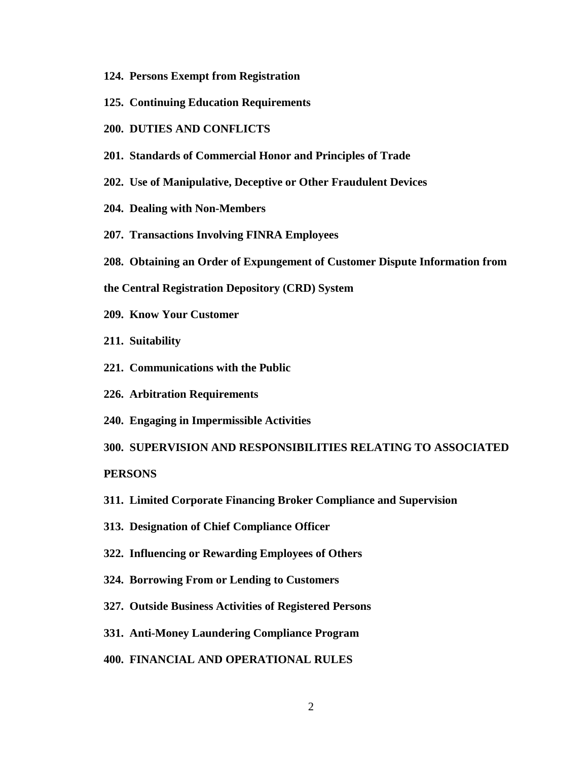- **124. Persons Exempt from Registration**
- **125. Continuing Education Requirements**
- **200. DUTIES AND CONFLICTS**
- **201. Standards of Commercial Honor and Principles of Trade**
- **202. Use of Manipulative, Deceptive or Other Fraudulent Devices**
- **204. Dealing with Non-Members**
- **207. Transactions Involving FINRA Employees**
- **208. Obtaining an Order of Expungement of Customer Dispute Information from**
- **the Central Registration Depository (CRD) System**
- **209. Know Your Customer**
- **211. Suitability**
- **221. Communications with the Public**
- **226. Arbitration Requirements**
- **240. Engaging in Impermissible Activities**

**300. SUPERVISION AND RESPONSIBILITIES RELATING TO ASSOCIATED PERSONS**

- **311. Limited Corporate Financing Broker Compliance and Supervision**
- **313. Designation of Chief Compliance Officer**
- **322. Influencing or Rewarding Employees of Others**
- **324. Borrowing From or Lending to Customers**
- **327. Outside Business Activities of Registered Persons**
- **331. Anti-Money Laundering Compliance Program**
- **400. FINANCIAL AND OPERATIONAL RULES**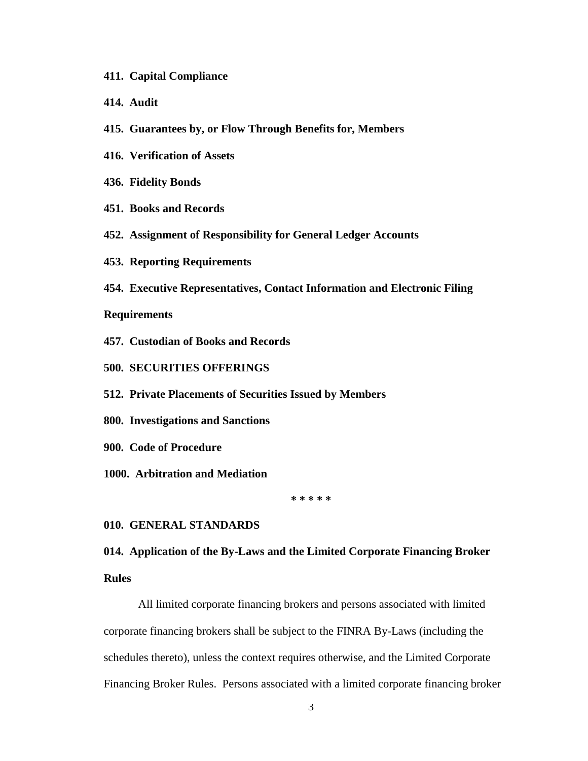- **411. Capital Compliance**
- **414. Audit**
- **415. Guarantees by, or Flow Through Benefits for, Members**
- **416. Verification of Assets**
- **436. Fidelity Bonds**
- **451. Books and Records**
- **452. Assignment of Responsibility for General Ledger Accounts**
- **453. Reporting Requirements**
- **454. Executive Representatives, Contact Information and Electronic Filing**

#### **Requirements**

- **457. Custodian of Books and Records**
- **500. SECURITIES OFFERINGS**
- **512. Private Placements of Securities Issued by Members**
- **800. Investigations and Sanctions**
- **900. Code of Procedure**
- **1000. Arbitration and Mediation**

**\* \* \* \* \*** 

## **010. GENERAL STANDARDS**

# **014. Application of the By-Laws and the Limited Corporate Financing Broker Rules**

All limited corporate financing brokers and persons associated with limited corporate financing brokers shall be subject to the FINRA By-Laws (including the schedules thereto), unless the context requires otherwise, and the Limited Corporate Financing Broker Rules. Persons associated with a limited corporate financing broker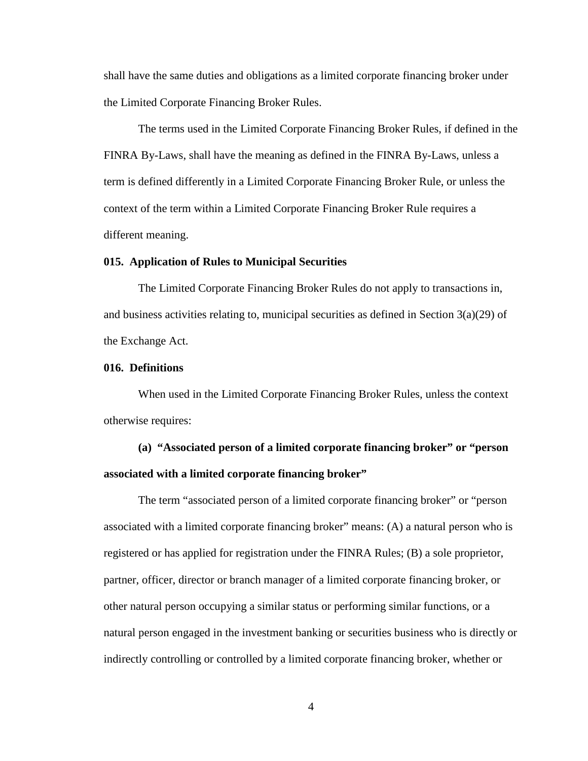shall have the same duties and obligations as a limited corporate financing broker under the Limited Corporate Financing Broker Rules.

The terms used in the Limited Corporate Financing Broker Rules, if defined in the FINRA By-Laws, shall have the meaning as defined in the FINRA By-Laws, unless a term is defined differently in a Limited Corporate Financing Broker Rule, or unless the context of the term within a Limited Corporate Financing Broker Rule requires a different meaning.

#### **015. Application of Rules to Municipal Securities**

The Limited Corporate Financing Broker Rules do not apply to transactions in, and business activities relating to, municipal securities as defined in Section  $3(a)(29)$  of the Exchange Act.

#### **016. Definitions**

When used in the Limited Corporate Financing Broker Rules, unless the context otherwise requires:

# **(a) "Associated person of a limited corporate financing broker" or "person associated with a limited corporate financing broker"**

The term "associated person of a limited corporate financing broker" or "person associated with a limited corporate financing broker" means: (A) a natural person who is registered or has applied for registration under the FINRA Rules; (B) a sole proprietor, partner, officer, director or branch manager of a limited corporate financing broker, or other natural person occupying a similar status or performing similar functions, or a natural person engaged in the investment banking or securities business who is directly or indirectly controlling or controlled by a limited corporate financing broker, whether or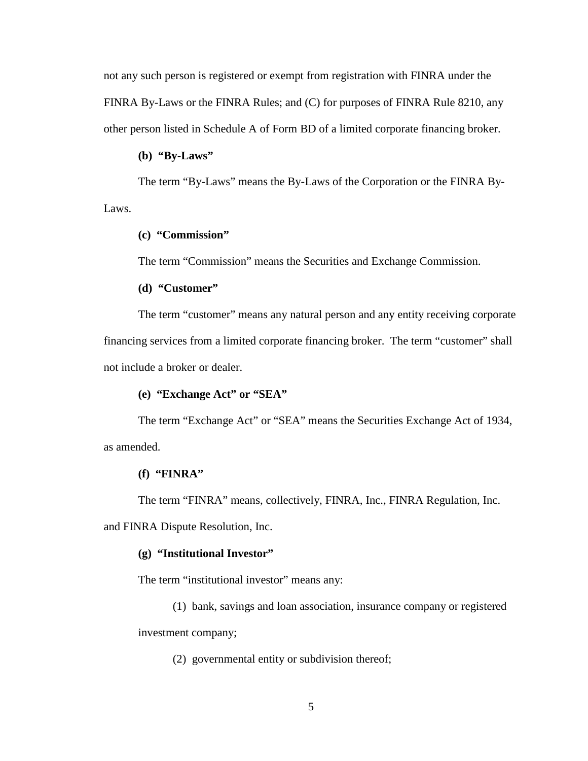not any such person is registered or exempt from registration with FINRA under the FINRA By-Laws or the FINRA Rules; and (C) for purposes of FINRA Rule 8210, any other person listed in Schedule A of Form BD of a limited corporate financing broker.

## **(b) "By-Laws"**

The term "By-Laws" means the By-Laws of the Corporation or the FINRA By-Laws.

# **(c) "Commission"**

The term "Commission" means the Securities and Exchange Commission.

## **(d) "Customer"**

The term "customer" means any natural person and any entity receiving corporate financing services from a limited corporate financing broker. The term "customer" shall not include a broker or dealer.

## **(e) "Exchange Act" or "SEA"**

The term "Exchange Act" or "SEA" means the Securities Exchange Act of 1934, as amended.

#### **(f) "FINRA"**

The term "FINRA" means, collectively, FINRA, Inc., FINRA Regulation, Inc.

and FINRA Dispute Resolution, Inc.

#### **(g) "Institutional Investor"**

The term "institutional investor" means any:

(1) bank, savings and loan association, insurance company or registered investment company;

(2) governmental entity or subdivision thereof;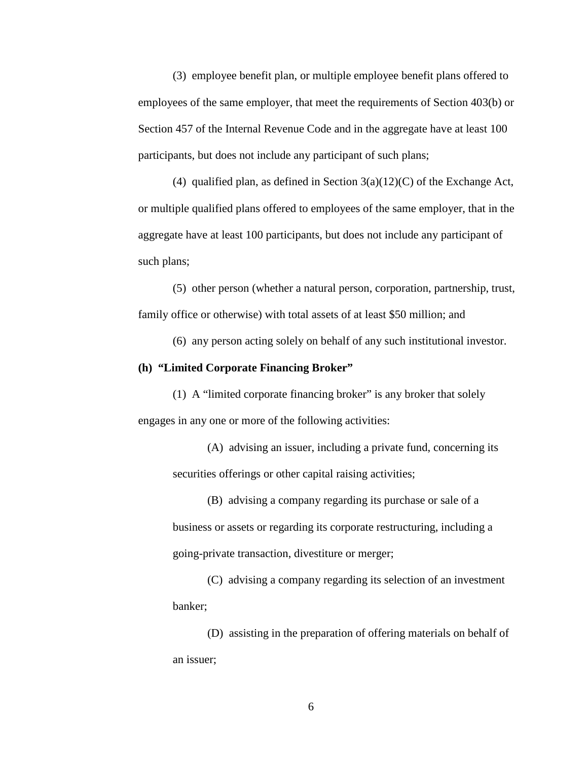(3) employee benefit plan, or multiple employee benefit plans offered to employees of the same employer, that meet the requirements of Section 403(b) or Section 457 of the Internal Revenue Code and in the aggregate have at least 100 participants, but does not include any participant of such plans;

(4) qualified plan, as defined in Section  $3(a)(12)(C)$  of the Exchange Act, or multiple qualified plans offered to employees of the same employer, that in the aggregate have at least 100 participants, but does not include any participant of such plans;

(5) other person (whether a natural person, corporation, partnership, trust, family office or otherwise) with total assets of at least \$50 million; and

(6) any person acting solely on behalf of any such institutional investor.

#### **(h) "Limited Corporate Financing Broker"**

(1) A "limited corporate financing broker" is any broker that solely engages in any one or more of the following activities:

(A) advising an issuer, including a private fund, concerning its securities offerings or other capital raising activities;

(B) advising a company regarding its purchase or sale of a business or assets or regarding its corporate restructuring, including a going-private transaction, divestiture or merger;

(C) advising a company regarding its selection of an investment banker;

(D) assisting in the preparation of offering materials on behalf of an issuer;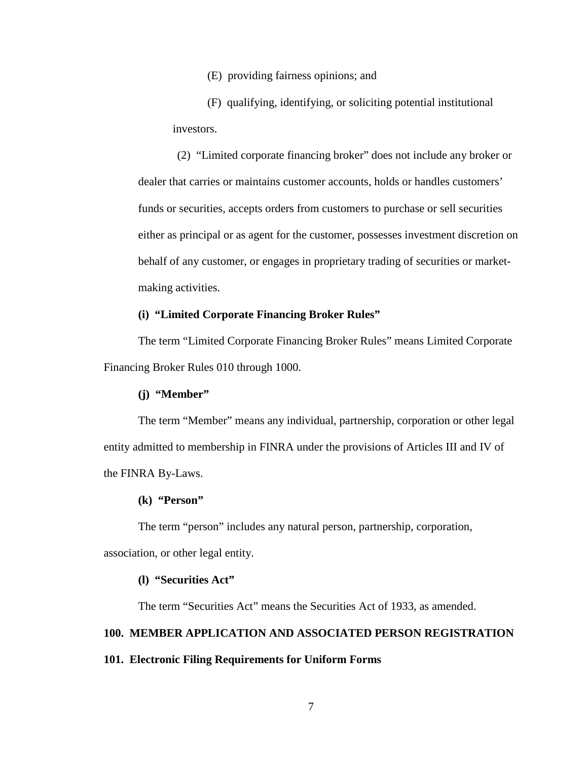(E) providing fairness opinions; and

(F) qualifying, identifying, or soliciting potential institutional investors.

(2) "Limited corporate financing broker" does not include any broker or dealer that carries or maintains customer accounts, holds or handles customers' funds or securities, accepts orders from customers to purchase or sell securities either as principal or as agent for the customer, possesses investment discretion on behalf of any customer, or engages in proprietary trading of securities or marketmaking activities.

## **(i) "Limited Corporate Financing Broker Rules"**

The term "Limited Corporate Financing Broker Rules" means Limited Corporate Financing Broker Rules 010 through 1000.

#### **(j) "Member"**

The term "Member" means any individual, partnership, corporation or other legal entity admitted to membership in FINRA under the provisions of Articles III and IV of the FINRA By-Laws.

#### **(k) "Person"**

The term "person" includes any natural person, partnership, corporation, association, or other legal entity.

### **(l) "Securities Act"**

The term "Securities Act" means the Securities Act of 1933, as amended.

# **100. MEMBER APPLICATION AND ASSOCIATED PERSON REGISTRATION**

#### **101. Electronic Filing Requirements for Uniform Forms**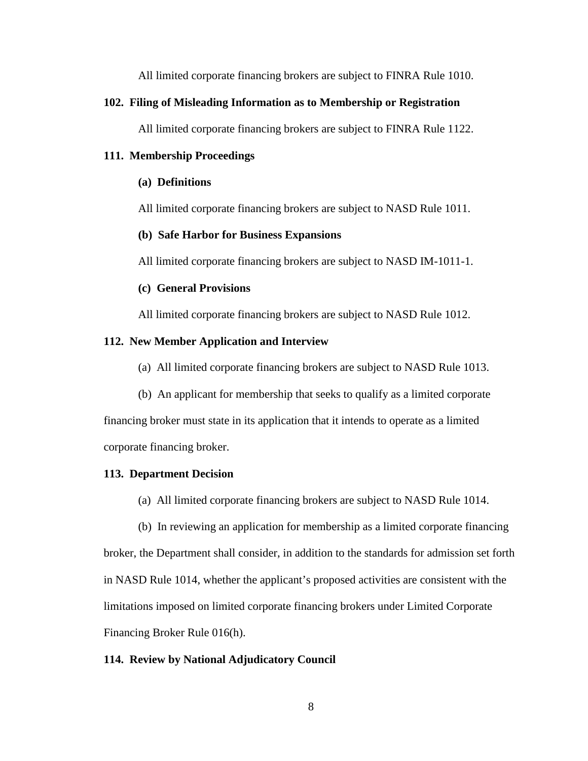All limited corporate financing brokers are subject to FINRA Rule 1010.

## **102. Filing of Misleading Information as to Membership or Registration**

All limited corporate financing brokers are subject to FINRA Rule 1122.

## **111. Membership Proceedings**

## **(a) Definitions**

All limited corporate financing brokers are subject to NASD Rule 1011.

## **(b) Safe Harbor for Business Expansions**

All limited corporate financing brokers are subject to NASD IM-1011-1.

## **(c) General Provisions**

All limited corporate financing brokers are subject to NASD Rule 1012.

## **112. New Member Application and Interview**

(a) All limited corporate financing brokers are subject to NASD Rule 1013.

(b) An applicant for membership that seeks to qualify as a limited corporate

financing broker must state in its application that it intends to operate as a limited corporate financing broker.

## **113. Department Decision**

- (a) All limited corporate financing brokers are subject to NASD Rule 1014.
- (b) In reviewing an application for membership as a limited corporate financing

broker, the Department shall consider, in addition to the standards for admission set forth in NASD Rule 1014, whether the applicant's proposed activities are consistent with the limitations imposed on limited corporate financing brokers under Limited Corporate Financing Broker Rule 016(h).

#### **114. Review by National Adjudicatory Council**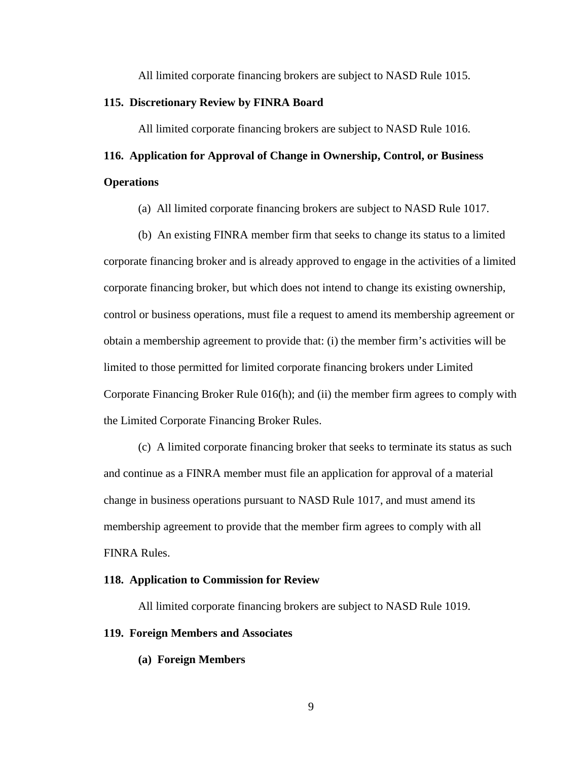All limited corporate financing brokers are subject to NASD Rule 1015.

### **115. Discretionary Review by FINRA Board**

All limited corporate financing brokers are subject to NASD Rule 1016.

# **116. Application for Approval of Change in Ownership, Control, or Business Operations**

(a) All limited corporate financing brokers are subject to NASD Rule 1017.

(b) An existing FINRA member firm that seeks to change its status to a limited corporate financing broker and is already approved to engage in the activities of a limited corporate financing broker, but which does not intend to change its existing ownership, control or business operations, must file a request to amend its membership agreement or obtain a membership agreement to provide that: (i) the member firm's activities will be limited to those permitted for limited corporate financing brokers under Limited Corporate Financing Broker Rule 016(h); and (ii) the member firm agrees to comply with the Limited Corporate Financing Broker Rules.

(c) A limited corporate financing broker that seeks to terminate its status as such and continue as a FINRA member must file an application for approval of a material change in business operations pursuant to NASD Rule 1017, and must amend its membership agreement to provide that the member firm agrees to comply with all FINRA Rules.

#### **118. Application to Commission for Review**

All limited corporate financing brokers are subject to NASD Rule 1019.

## **119. Foreign Members and Associates**

**(a) Foreign Members**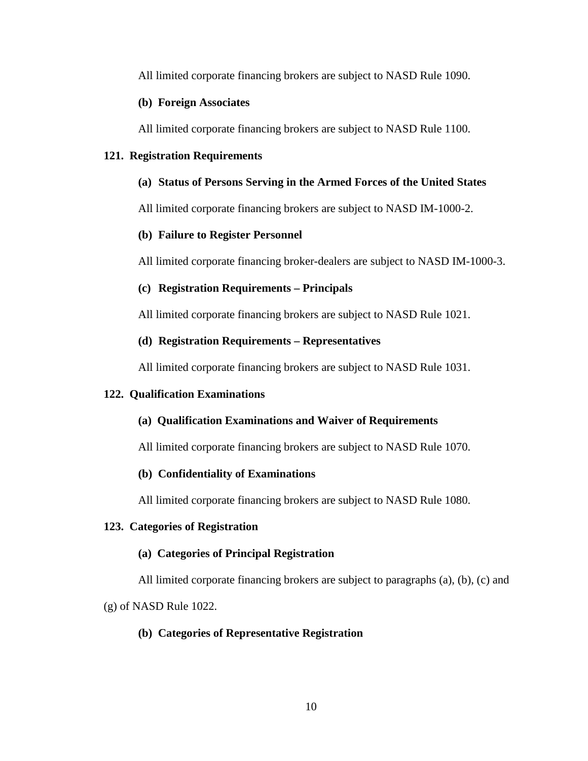All limited corporate financing brokers are subject to NASD Rule 1090.

# **(b) Foreign Associates**

All limited corporate financing brokers are subject to NASD Rule 1100.

## **121. Registration Requirements**

## **(a) Status of Persons Serving in the Armed Forces of the United States**

All limited corporate financing brokers are subject to NASD IM-1000-2.

## **(b) Failure to Register Personnel**

All limited corporate financing broker-dealers are subject to NASD IM-1000-3.

# **(c) Registration Requirements – Principals**

All limited corporate financing brokers are subject to NASD Rule 1021.

## **(d) Registration Requirements – Representatives**

All limited corporate financing brokers are subject to NASD Rule 1031.

## **122. Qualification Examinations**

## **(a) Qualification Examinations and Waiver of Requirements**

All limited corporate financing brokers are subject to NASD Rule 1070.

## **(b) Confidentiality of Examinations**

All limited corporate financing brokers are subject to NASD Rule 1080.

#### **123. Categories of Registration**

#### **(a) Categories of Principal Registration**

All limited corporate financing brokers are subject to paragraphs (a), (b), (c) and

(g) of NASD Rule 1022.

## **(b) Categories of Representative Registration**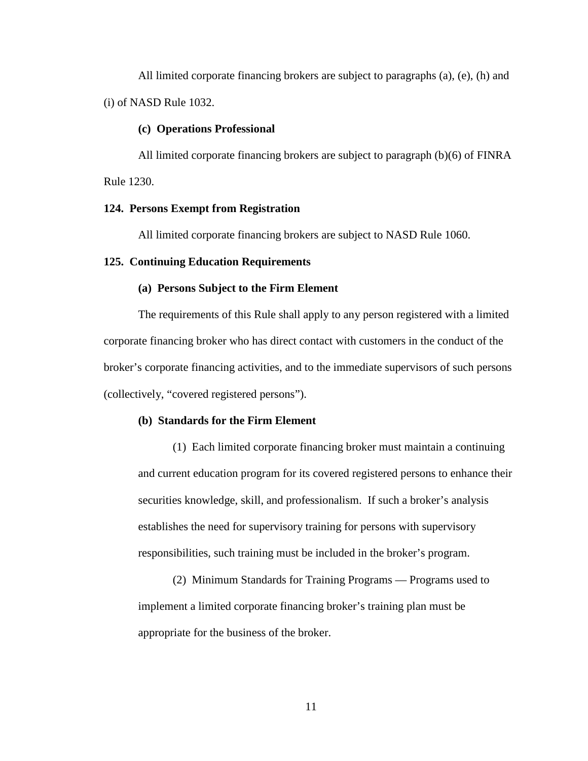All limited corporate financing brokers are subject to paragraphs (a), (e), (h) and (i) of NASD Rule 1032.

#### **(c) Operations Professional**

All limited corporate financing brokers are subject to paragraph (b)(6) of FINRA Rule 1230.

### **124. Persons Exempt from Registration**

All limited corporate financing brokers are subject to NASD Rule 1060.

#### **125. Continuing Education Requirements**

#### **(a) Persons Subject to the Firm Element**

The requirements of this Rule shall apply to any person registered with a limited corporate financing broker who has direct contact with customers in the conduct of the broker's corporate financing activities, and to the immediate supervisors of such persons (collectively, "covered registered persons").

#### **(b) Standards for the Firm Element**

(1) Each limited corporate financing broker must maintain a continuing and current education program for its covered registered persons to enhance their securities knowledge, skill, and professionalism. If such a broker's analysis establishes the need for supervisory training for persons with supervisory responsibilities, such training must be included in the broker's program.

(2) Minimum Standards for Training Programs — Programs used to implement a limited corporate financing broker's training plan must be appropriate for the business of the broker.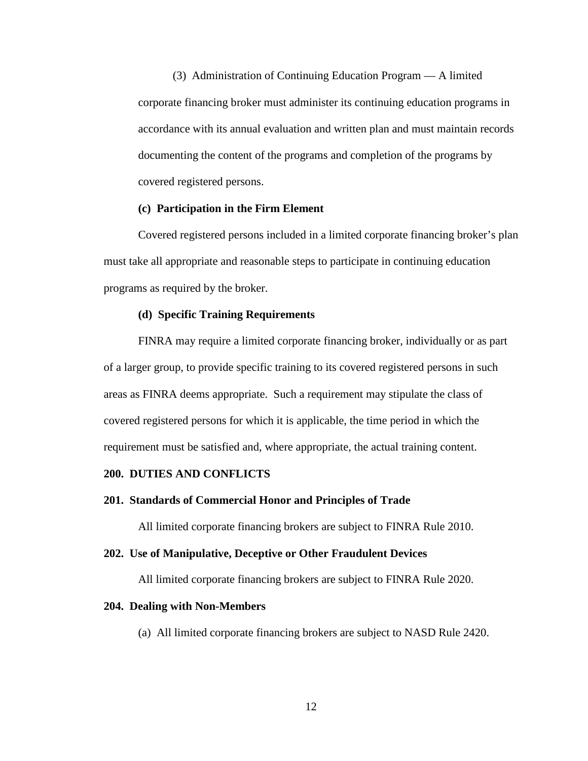(3) Administration of Continuing Education Program — A limited corporate financing broker must administer its continuing education programs in accordance with its annual evaluation and written plan and must maintain records documenting the content of the programs and completion of the programs by covered registered persons.

## **(c) Participation in the Firm Element**

Covered registered persons included in a limited corporate financing broker's plan must take all appropriate and reasonable steps to participate in continuing education programs as required by the broker.

## **(d) Specific Training Requirements**

FINRA may require a limited corporate financing broker, individually or as part of a larger group, to provide specific training to its covered registered persons in such areas as FINRA deems appropriate. Such a requirement may stipulate the class of covered registered persons for which it is applicable, the time period in which the requirement must be satisfied and, where appropriate, the actual training content.

## **200. DUTIES AND CONFLICTS**

#### **201. Standards of Commercial Honor and Principles of Trade**

All limited corporate financing brokers are subject to FINRA Rule 2010.

#### **202. Use of Manipulative, Deceptive or Other Fraudulent Devices**

All limited corporate financing brokers are subject to FINRA Rule 2020.

#### **204. Dealing with Non-Members**

(a)All limited corporate financing brokers are subject to NASD Rule 2420.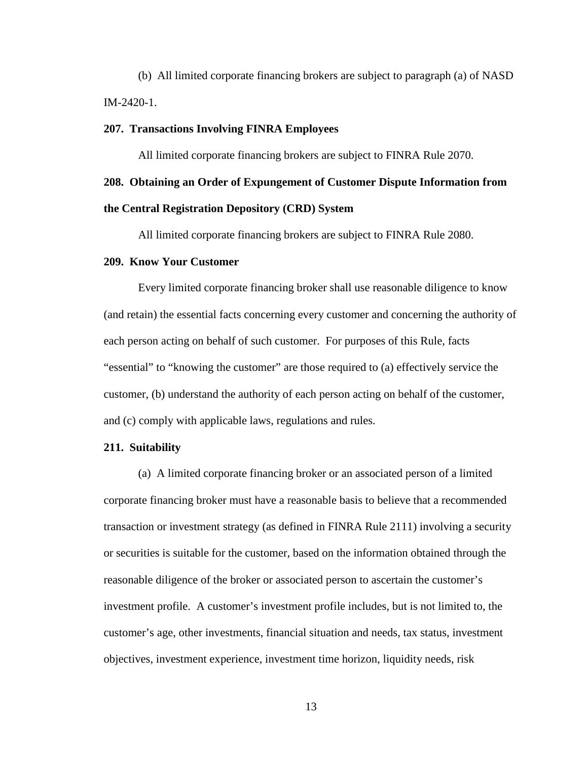(b)All limited corporate financing brokers are subject to paragraph (a) of NASD IM-2420-1.

#### **207. Transactions Involving FINRA Employees**

All limited corporate financing brokers are subject to FINRA Rule 2070.

# **208. Obtaining an Order of Expungement of Customer Dispute Information from**

## **the Central Registration Depository (CRD) System**

All limited corporate financing brokers are subject to FINRA Rule 2080.

#### **209. Know Your Customer**

Every limited corporate financing broker shall use reasonable diligence to know (and retain) the essential facts concerning every customer and concerning the authority of each person acting on behalf of such customer. For purposes of this Rule, facts "essential" to "knowing the customer" are those required to (a) effectively service the customer, (b) understand the authority of each person acting on behalf of the customer, and (c) comply with applicable laws, regulations and rules.

### **211. Suitability**

(a) A limited corporate financing broker or an associated person of a limited corporate financing broker must have a reasonable basis to believe that a recommended transaction or investment strategy (as defined in FINRA Rule 2111) involving a security or securities is suitable for the customer, based on the information obtained through the reasonable diligence of the broker or associated person to ascertain the customer's investment profile. A customer's investment profile includes, but is not limited to, the customer's age, other investments, financial situation and needs, tax status, investment objectives, investment experience, investment time horizon, liquidity needs, risk

13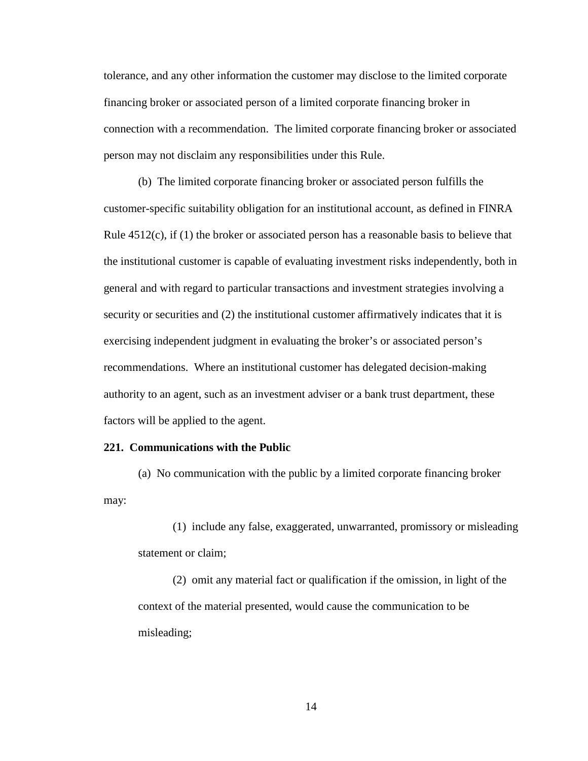tolerance, and any other information the customer may disclose to the limited corporate financing broker or associated person of a limited corporate financing broker in connection with a recommendation. The limited corporate financing broker or associated person may not disclaim any responsibilities under this Rule.

(b) The limited corporate financing broker or associated person fulfills the customer-specific suitability obligation for an institutional account, as defined in FINRA Rule 4512(c), if (1) the broker or associated person has a reasonable basis to believe that the institutional customer is capable of evaluating investment risks independently, both in general and with regard to particular transactions and investment strategies involving a security or securities and (2) the institutional customer affirmatively indicates that it is exercising independent judgment in evaluating the broker's or associated person's recommendations. Where an institutional customer has delegated decision-making authority to an agent, such as an investment adviser or a bank trust department, these factors will be applied to the agent.

### **221. Communications with the Public**

(a) No communication with the public by a limited corporate financing broker may:

(1) include any false, exaggerated, unwarranted, promissory or misleading statement or claim;

(2) omit any material fact or qualification if the omission, in light of the context of the material presented, would cause the communication to be misleading;

14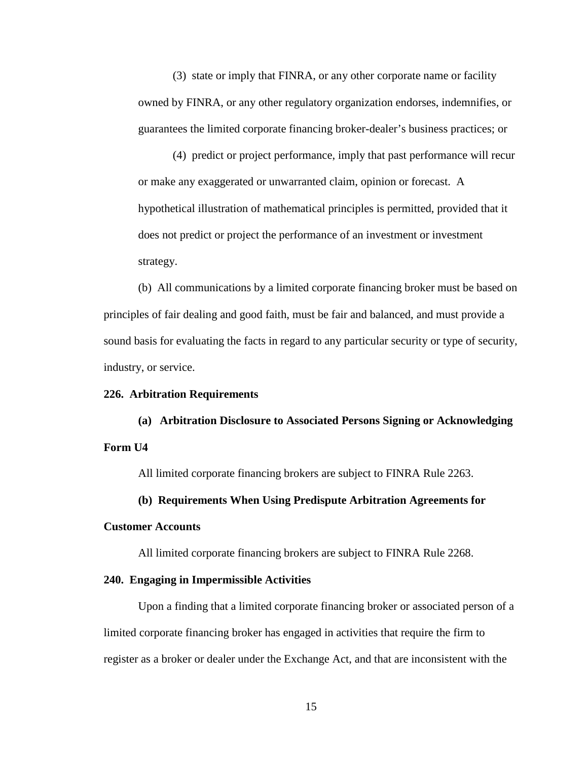(3) state or imply that FINRA, or any other corporate name or facility owned by FINRA, or any other regulatory organization endorses, indemnifies, or guarantees the limited corporate financing broker-dealer's business practices; or

(4) predict or project performance, imply that past performance will recur or make any exaggerated or unwarranted claim, opinion or forecast. A hypothetical illustration of mathematical principles is permitted, provided that it does not predict or project the performance of an investment or investment strategy.

(b) All communications by a limited corporate financing broker must be based on principles of fair dealing and good faith, must be fair and balanced, and must provide a sound basis for evaluating the facts in regard to any particular security or type of security, industry, or service.

## **226. Arbitration Requirements**

**(a) Arbitration Disclosure to Associated Persons Signing or Acknowledging Form U4**

All limited corporate financing brokers are subject to FINRA Rule 2263.

## **(b) Requirements When Using Predispute Arbitration Agreements for**

#### **Customer Accounts**

All limited corporate financing brokers are subject to FINRA Rule 2268.

#### **240. Engaging in Impermissible Activities**

Upon a finding that a limited corporate financing broker or associated person of a limited corporate financing broker has engaged in activities that require the firm to register as a broker or dealer under the Exchange Act, and that are inconsistent with the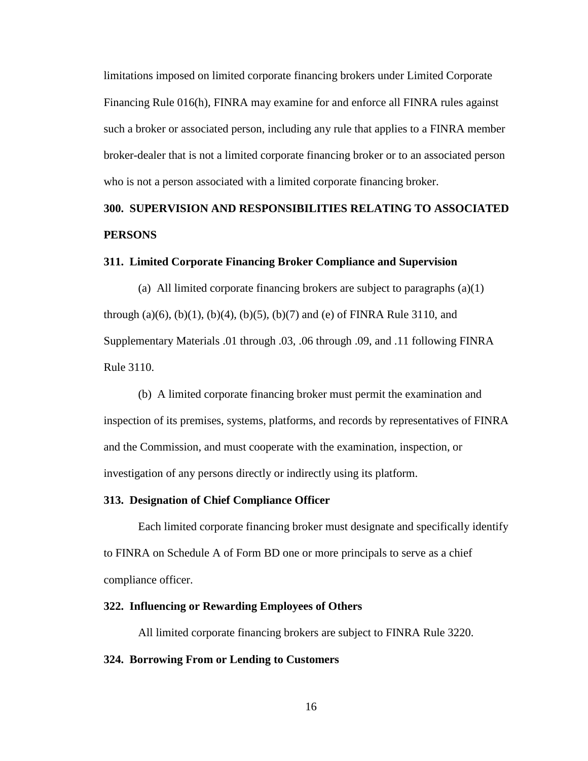limitations imposed on limited corporate financing brokers under Limited Corporate Financing Rule 016(h), FINRA may examine for and enforce all FINRA rules against such a broker or associated person, including any rule that applies to a FINRA member broker-dealer that is not a limited corporate financing broker or to an associated person who is not a person associated with a limited corporate financing broker.

# **300. SUPERVISION AND RESPONSIBILITIES RELATING TO ASSOCIATED PERSONS**

#### **311. Limited Corporate Financing Broker Compliance and Supervision**

(a) All limited corporate financing brokers are subject to paragraphs (a)(1) through  $(a)(6)$ ,  $(b)(1)$ ,  $(b)(4)$ ,  $(b)(5)$ ,  $(b)(7)$  and  $(e)$  of FINRA Rule 3110, and Supplementary Materials .01 through .03, .06 through .09, and .11 following FINRA Rule 3110.

(b) A limited corporate financing broker must permit the examination and inspection of its premises, systems, platforms, and records by representatives of FINRA and the Commission, and must cooperate with the examination, inspection, or investigation of any persons directly or indirectly using its platform.

## **313. Designation of Chief Compliance Officer**

Each limited corporate financing broker must designate and specifically identify to FINRA on Schedule A of Form BD one or more principals to serve as a chief compliance officer.

## **322. Influencing or Rewarding Employees of Others**

All limited corporate financing brokers are subject to FINRA Rule 3220.

#### **324. Borrowing From or Lending to Customers**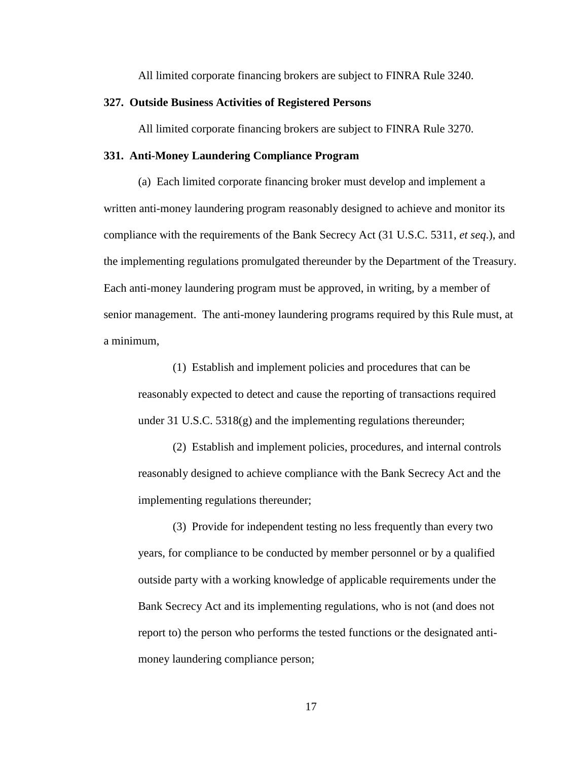All limited corporate financing brokers are subject to FINRA Rule 3240.

#### **327. Outside Business Activities of Registered Persons**

All limited corporate financing brokers are subject to FINRA Rule 3270.

### **331. Anti-Money Laundering Compliance Program**

(a) Each limited corporate financing broker must develop and implement a written anti-money laundering program reasonably designed to achieve and monitor its compliance with the requirements of the Bank Secrecy Act (31 U.S.C. 5311, *et seq*.), and the implementing regulations promulgated thereunder by the Department of the Treasury. Each anti-money laundering program must be approved, in writing, by a member of senior management. The anti-money laundering programs required by this Rule must, at a minimum,

(1) Establish and implement policies and procedures that can be reasonably expected to detect and cause the reporting of transactions required under 31 U.S.C. 5318(g) and the implementing regulations thereunder;

(2) Establish and implement policies, procedures, and internal controls reasonably designed to achieve compliance with the Bank Secrecy Act and the implementing regulations thereunder;

(3) Provide for independent testing no less frequently than every two years, for compliance to be conducted by member personnel or by a qualified outside party with a working knowledge of applicable requirements under the Bank Secrecy Act and its implementing regulations, who is not (and does not report to) the person who performs the tested functions or the designated antimoney laundering compliance person;

17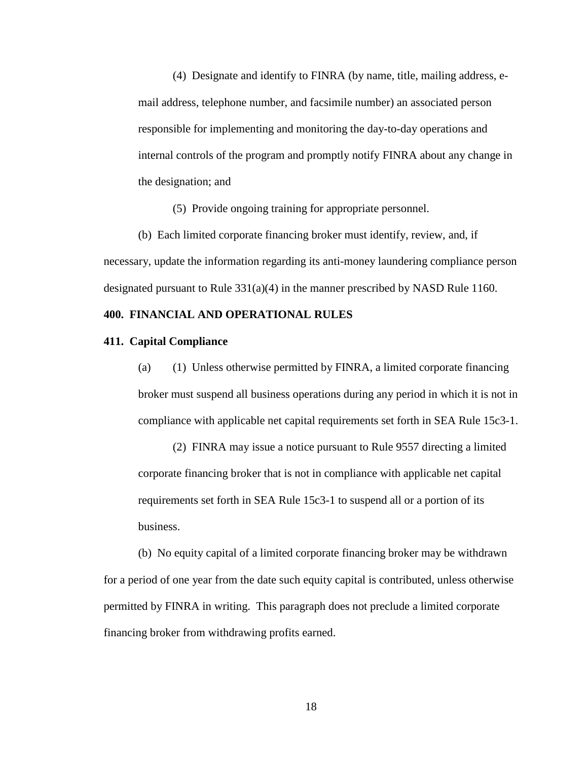(4) Designate and identify to FINRA (by name, title, mailing address, email address, telephone number, and facsimile number) an associated person responsible for implementing and monitoring the day-to-day operations and internal controls of the program and promptly notify FINRA about any change in the designation; and

(5) Provide ongoing training for appropriate personnel.

(b) Each limited corporate financing broker must identify, review, and, if necessary, update the information regarding its anti-money laundering compliance person designated pursuant to Rule 331(a)(4) in the manner prescribed by NASD Rule 1160.

#### **400. FINANCIAL AND OPERATIONAL RULES**

#### **411. Capital Compliance**

(a) (1) Unless otherwise permitted by FINRA, a limited corporate financing broker must suspend all business operations during any period in which it is not in compliance with applicable net capital requirements set forth in SEA Rule 15c3-1.

(2) FINRA may issue a notice pursuant to Rule 9557 directing a limited corporate financing broker that is not in compliance with applicable net capital requirements set forth in SEA Rule 15c3-1 to suspend all or a portion of its business.

(b) No equity capital of a limited corporate financing broker may be withdrawn for a period of one year from the date such equity capital is contributed, unless otherwise permitted by FINRA in writing. This paragraph does not preclude a limited corporate financing broker from withdrawing profits earned.

18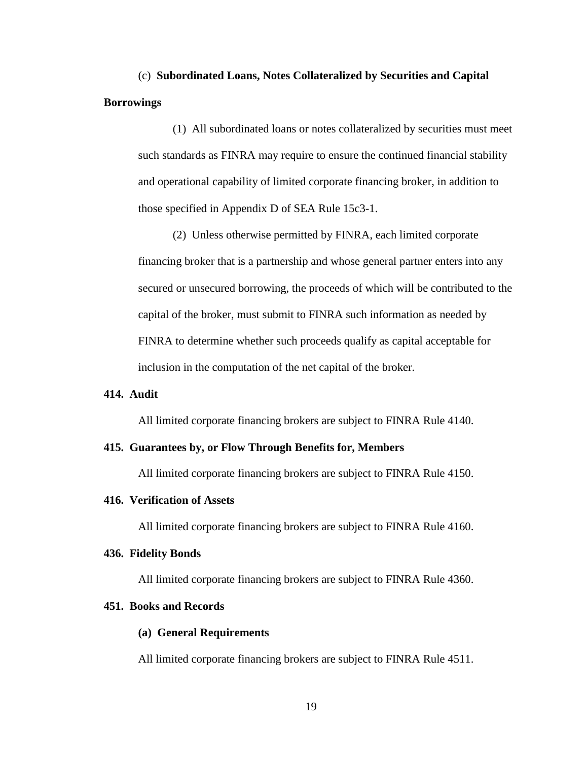(c) **Subordinated Loans, Notes Collateralized by Securities and Capital Borrowings**

(1) All subordinated loans or notes collateralized by securities must meet such standards as FINRA may require to ensure the continued financial stability and operational capability of limited corporate financing broker, in addition to those specified in Appendix D of SEA Rule 15c3-1.

(2) Unless otherwise permitted by FINRA, each limited corporate financing broker that is a partnership and whose general partner enters into any secured or unsecured borrowing, the proceeds of which will be contributed to the capital of the broker, must submit to FINRA such information as needed by FINRA to determine whether such proceeds qualify as capital acceptable for inclusion in the computation of the net capital of the broker.

## **414. Audit**

All limited corporate financing brokers are subject to FINRA Rule 4140.

### **415. Guarantees by, or Flow Through Benefits for, Members**

All limited corporate financing brokers are subject to FINRA Rule 4150.

#### **416. Verification of Assets**

All limited corporate financing brokers are subject to FINRA Rule 4160.

#### **436. Fidelity Bonds**

All limited corporate financing brokers are subject to FINRA Rule 4360.

#### **451. Books and Records**

#### **(a) General Requirements**

All limited corporate financing brokers are subject to FINRA Rule 4511.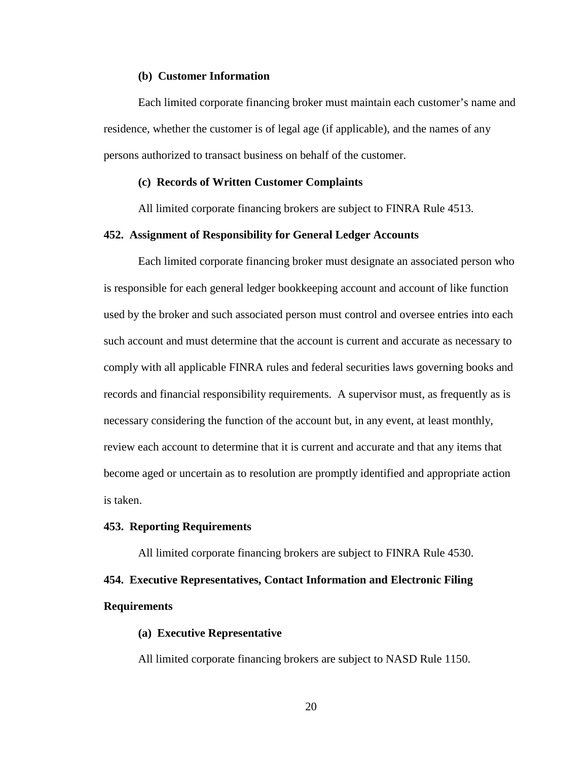#### **(b) Customer Information**

Each limited corporate financing broker must maintain each customer's name and residence, whether the customer is of legal age (if applicable), and the names of any persons authorized to transact business on behalf of the customer.

### **(c) Records of Written Customer Complaints**

All limited corporate financing brokers are subject to FINRA Rule 4513.

#### **452. Assignment of Responsibility for General Ledger Accounts**

Each limited corporate financing broker must designate an associated person who is responsible for each general ledger bookkeeping account and account of like function used by the broker and such associated person must control and oversee entries into each such account and must determine that the account is current and accurate as necessary to comply with all applicable FINRA rules and federal securities laws governing books and records and financial responsibility requirements. A supervisor must, as frequently as is necessary considering the function of the account but, in any event, at least monthly, review each account to determine that it is current and accurate and that any items that become aged or uncertain as to resolution are promptly identified and appropriate action is taken.

#### **453. Reporting Requirements**

All limited corporate financing brokers are subject to FINRA Rule 4530.

# **454. Executive Representatives, Contact Information and Electronic Filing Requirements**

## **(a) Executive Representative**

All limited corporate financing brokers are subject to NASD Rule 1150.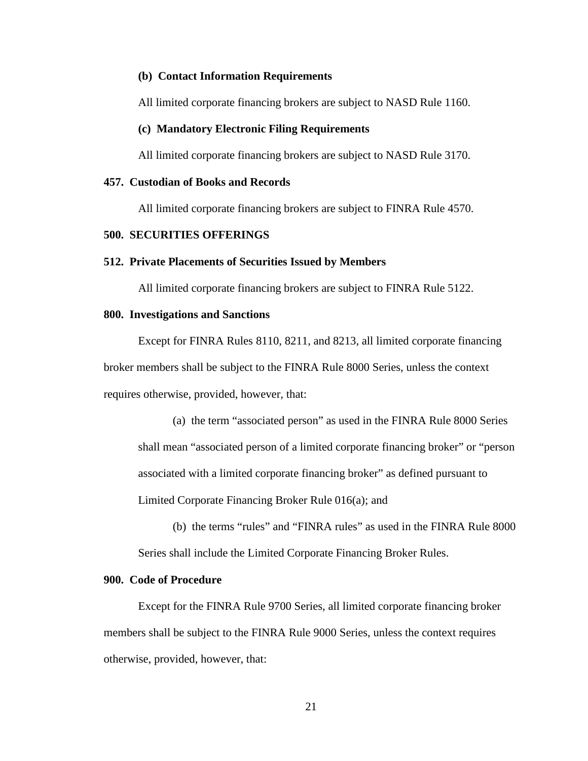## **(b) Contact Information Requirements**

All limited corporate financing brokers are subject to NASD Rule 1160.

#### **(c) Mandatory Electronic Filing Requirements**

All limited corporate financing brokers are subject to NASD Rule 3170.

### **457. Custodian of Books and Records**

All limited corporate financing brokers are subject to FINRA Rule 4570.

# **500. SECURITIES OFFERINGS**

#### **512. Private Placements of Securities Issued by Members**

All limited corporate financing brokers are subject to FINRA Rule 5122.

## **800. Investigations and Sanctions**

Except for FINRA Rules 8110, 8211, and 8213, all limited corporate financing broker members shall be subject to the FINRA Rule 8000 Series, unless the context requires otherwise, provided, however, that:

(a) the term "associated person" as used in the FINRA Rule 8000 Series shall mean "associated person of a limited corporate financing broker" or "person associated with a limited corporate financing broker" as defined pursuant to Limited Corporate Financing Broker Rule 016(a); and

(b) the terms "rules" and "FINRA rules" as used in the FINRA Rule 8000 Series shall include the Limited Corporate Financing Broker Rules.

#### **900. Code of Procedure**

Except for the FINRA Rule 9700 Series, all limited corporate financing broker members shall be subject to the FINRA Rule 9000 Series, unless the context requires otherwise, provided, however, that: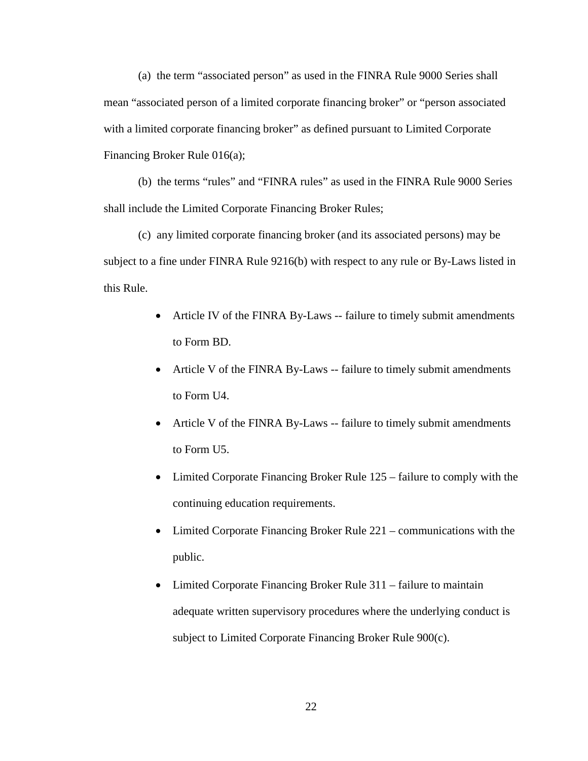(a) the term "associated person" as used in the FINRA Rule 9000 Series shall mean "associated person of a limited corporate financing broker" or "person associated with a limited corporate financing broker" as defined pursuant to Limited Corporate Financing Broker Rule 016(a);

(b) the terms "rules" and "FINRA rules" as used in the FINRA Rule 9000 Series shall include the Limited Corporate Financing Broker Rules;

(c) any limited corporate financing broker (and its associated persons) may be subject to a fine under FINRA Rule 9216(b) with respect to any rule or By-Laws listed in this Rule.

- Article IV of the FINRA By-Laws -- failure to timely submit amendments to Form BD.
- Article V of the FINRA By-Laws -- failure to timely submit amendments to Form U4.
- Article V of the FINRA By-Laws -- failure to timely submit amendments to Form U5.
- Limited Corporate Financing Broker Rule 125 failure to comply with the continuing education requirements.
- Limited Corporate Financing Broker Rule 221 communications with the public.
- Limited Corporate Financing Broker Rule 311 failure to maintain adequate written supervisory procedures where the underlying conduct is subject to Limited Corporate Financing Broker Rule 900(c).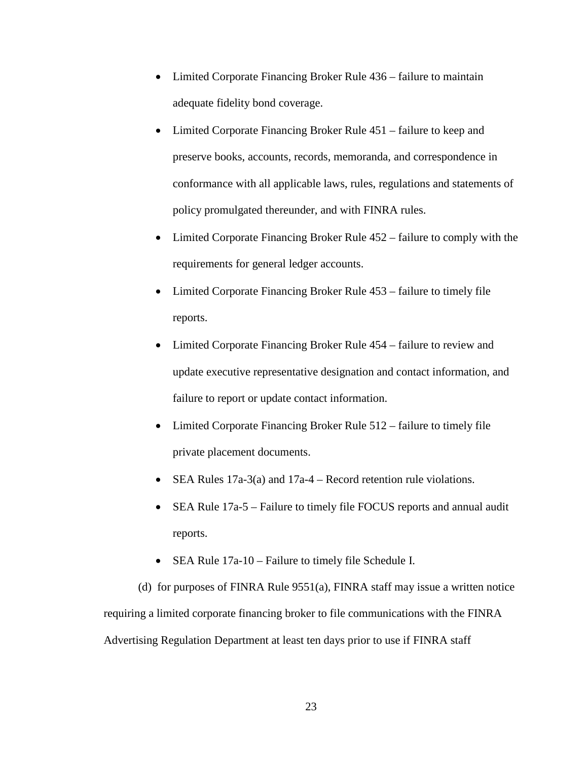- Limited Corporate Financing Broker Rule 436 failure to maintain adequate fidelity bond coverage.
- Limited Corporate Financing Broker Rule 451 failure to keep and preserve books, accounts, records, memoranda, and correspondence in conformance with all applicable laws, rules, regulations and statements of policy promulgated thereunder, and with FINRA rules.
- Limited Corporate Financing Broker Rule 452 failure to comply with the requirements for general ledger accounts.
- Limited Corporate Financing Broker Rule 453 failure to timely file reports.
- Limited Corporate Financing Broker Rule 454 failure to review and update executive representative designation and contact information, and failure to report or update contact information.
- Limited Corporate Financing Broker Rule 512 failure to timely file private placement documents.
- SEA Rules 17a-3(a) and 17a-4 Record retention rule violations.
- SEA Rule 17a-5 Failure to timely file FOCUS reports and annual audit reports.
- SEA Rule 17a-10 Failure to timely file Schedule I.

(d) for purposes of FINRA Rule 9551(a), FINRA staff may issue a written notice requiring a limited corporate financing broker to file communications with the FINRA Advertising Regulation Department at least ten days prior to use if FINRA staff